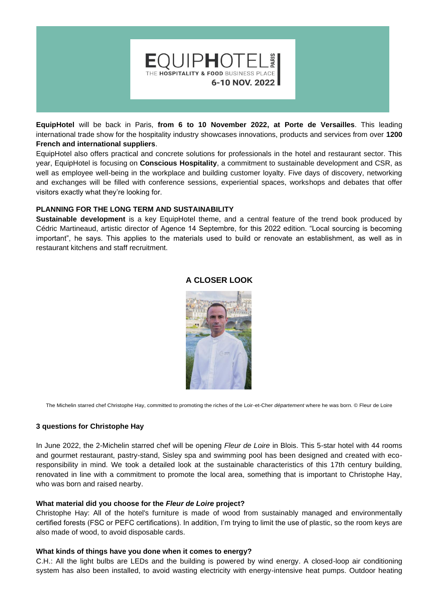

**EquipHotel** will be back in Paris, **from 6 to 10 November 2022, at Porte de Versailles**. This leading international trade show for the hospitality industry showcases innovations, products and services from over **1200 French and international suppliers**.

EquipHotel also offers practical and concrete solutions for professionals in the hotel and restaurant sector. This year, EquipHotel is focusing on **Conscious Hospitality**, a commitment to sustainable development and CSR, as well as employee well-being in the workplace and building customer loyalty. Five days of discovery, networking and exchanges will be filled with conference sessions, experiential spaces, workshops and debates that offer visitors exactly what they're looking for.

### **PLANNING FOR THE LONG TERM AND SUSTAINABILITY**

**Sustainable development** is a key EquipHotel theme, and a central feature of the trend book produced by Cédric Martineaud, artistic director of Agence 14 Septembre, for this 2022 edition. "Local sourcing is becoming important", he says. This applies to the materials used to build or renovate an establishment, as well as in restaurant kitchens and staff recruitment.



### **A CLOSER LOOK**

The Michelin starred chef Christophe Hay, committed to promoting the riches of the Loir-et-Cher *département* where he was born. © Fleur de Loire

#### **3 questions for Christophe Hay**

In June 2022, the 2-Michelin starred chef will be opening *Fleur de Loire* in Blois. This 5-star hotel with 44 rooms and gourmet restaurant, pastry-stand, Sisley spa and swimming pool has been designed and created with ecoresponsibility in mind. We took a detailed look at the sustainable characteristics of this 17th century building, renovated in line with a commitment to promote the local area, something that is important to Christophe Hay, who was born and raised nearby.

### **What material did you choose for the** *Fleur de Loire* **project?**

Christophe Hay: All of the hotel's furniture is made of wood from sustainably managed and environmentally certified forests (FSC or PEFC certifications). In addition, I'm trying to limit the use of plastic, so the room keys are also made of wood, to avoid disposable cards.

#### **What kinds of things have you done when it comes to energy?**

C.H.: All the light bulbs are LEDs and the building is powered by wind energy. A closed-loop air conditioning system has also been installed, to avoid wasting electricity with energy-intensive heat pumps. Outdoor heating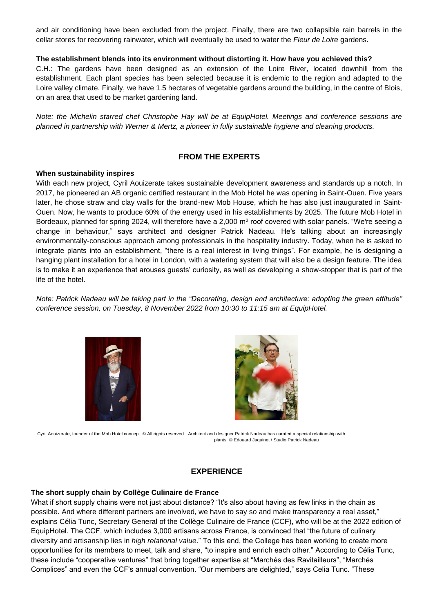and air conditioning have been excluded from the project. Finally, there are two collapsible rain barrels in the cellar stores for recovering rainwater, which will eventually be used to water the *Fleur de Loire* gardens.

### **The establishment blends into its environment without distorting it. How have you achieved this?**

C.H.: The gardens have been designed as an extension of the Loire River, located downhill from the establishment. Each plant species has been selected because it is endemic to the region and adapted to the Loire valley climate. Finally, we have 1.5 hectares of vegetable gardens around the building, in the centre of Blois, on an area that used to be market gardening land.

*Note: the Michelin starred chef Christophe Hay will be at EquipHotel. Meetings and conference sessions are planned in partnership with Werner & Mertz, a pioneer in fully sustainable hygiene and cleaning products.*

# **FROM THE EXPERTS**

#### **When sustainability inspires**

With each new project, Cyril Aouizerate takes sustainable development awareness and standards up a notch. In 2017, he pioneered an AB organic certified restaurant in the Mob Hotel he was opening in Saint-Ouen. Five years later, he chose straw and clay walls for the brand-new Mob House, which he has also just inaugurated in Saint-Ouen. Now, he wants to produce 60% of the energy used in his establishments by 2025. The future Mob Hotel in Bordeaux, planned for spring 2024, will therefore have a 2,000 m<sup>2</sup> roof covered with solar panels. "We're seeing a change in behaviour," says architect and designer Patrick Nadeau. He's talking about an increasingly environmentally-conscious approach among professionals in the hospitality industry. Today, when he is asked to integrate plants into an establishment, "there is a real interest in living things". For example, he is designing a hanging plant installation for a hotel in London, with a watering system that will also be a design feature. The idea is to make it an experience that arouses guests' curiosity, as well as developing a show-stopper that is part of the life of the hotel.

*Note: Patrick Nadeau will be taking part in the "Decorating, design and architecture: adopting the green attitude" conference session, on Tuesday, 8 November 2022 from 10:30 to 11:15 am at EquipHotel.*





Cyril Aouizerate, founder of the Mob Hotel concept. © All rights reserved Architect and designer Patrick Nadeau has curated a special relationship with plants. © Edouard Jaquinet / Studio Patrick Nadeau

# **EXPERIENCE**

# **The short supply chain by Collège Culinaire de France**

What if short supply chains were not just about distance? "It's also about having as few links in the chain as possible. And where different partners are involved, we have to say so and make transparency a real asset," explains Célia Tunc, Secretary General of the Collège Culinaire de France (CCF), who will be at the 2022 edition of EquipHotel. The CCF, which includes 3,000 artisans across France, is convinced that "the future of culinary diversity and artisanship lies in *high relational value*." To this end, the College has been working to create more opportunities for its members to meet, talk and share, "to inspire and enrich each other." According to Célia Tunc, these include "cooperative ventures" that bring together expertise at "Marchés des Ravitailleurs", "Marchés Complices" and even the CCF's annual convention. "Our members are delighted," says Celia Tunc. "These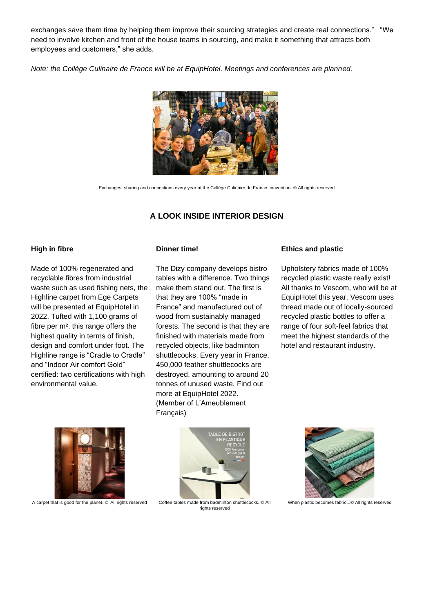exchanges save them time by helping them improve their sourcing strategies and create real connections." "We need to involve kitchen and front of the house teams in sourcing, and make it something that attracts both employees and customers," she adds.

*Note: the Collège Culinaire de France will be at EquipHotel. Meetings and conferences are planned.*



Exchanges, sharing and connections every year at the Collège Culinaire de France convention. © All rights reserved

# **A LOOK INSIDE INTERIOR DESIGN**

#### **High in fibre**

Made of 100% regenerated and recyclable fibres from industrial waste such as used fishing nets, the Highline carpet from Ege Carpets will be presented at EquipHotel in 2022. Tufted with 1,100 grams of fibre per m², this range offers the highest quality in terms of finish, design and comfort under foot. The Highline range is "Cradle to Cradle" and "Indoor Air comfort Gold" certified: two certifications with high environmental value.

#### **Dinner time!**

The Dizy company develops bistro tables with a difference. Two things make them stand out. The first is that they are 100% "made in France" and manufactured out of wood from sustainably managed forests. The second is that they are finished with materials made from recycled objects, like badminton shuttlecocks. Every year in France, 450,000 feather shuttlecocks are destroyed, amounting to around 20 tonnes of unused waste. Find out more at EquipHotel 2022. (Member of L'Ameublement Français)

#### **Ethics and plastic**

Upholstery fabrics made of 100% recycled plastic waste really exist! All thanks to Vescom, who will be at EquipHotel this year. Vescom uses thread made out of locally-sourced recycled plastic bottles to offer a range of four soft-feel fabrics that meet the highest standards of the hotel and restaurant industry.



A carpet that is good for the planet. © All rights reserved



Coffee tables made from badminton shuttlecocks. © All rights reserved



When plastic becomes fabric...© All rights reserved